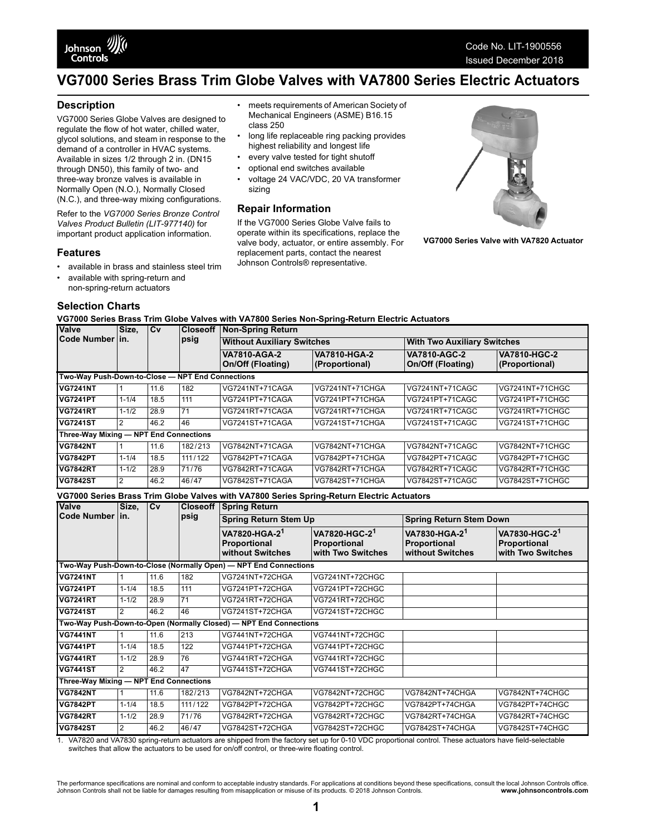

# **VG7000 Series Brass Trim Globe Valves with VA7800 Series Electric Actuators**

• meets requirements of American Society of Mechanical Engineers (ASME) B16.15

long life replaceable ring packing provides highest reliability and longest life • every valve tested for tight shutoff • optional end switches available • voltage 24 VAC/VDC, 20 VA transformer

If the VG7000 Series Globe Valve fails to operate within its specifications, replace the valve body, actuator, or entire assembly. For replacement parts, contact the nearest Johnson Controls® representative.

#### **Description**

VG7000 Series Globe Valves are designed to regulate the flow of hot water, chilled water, glycol solutions, and steam in response to the demand of a controller in HVAC systems. Available in sizes 1/2 through 2 in. (DN15 through DN50), this family of two- and three-way bronze valves is available in Normally Open (N.O.), Normally Closed (N.C.), and three-way mixing configurations.

Refer to the *VG7000 Series Bronze Control Valves Product Bulletin (LIT-977140)* for important product application information.

#### **Features**

- available in brass and stainless steel trim
- available with spring-return and non-spring-return actuators

#### **Selection Charts**

**VG7000 Series Brass Trim Globe Valves with VA7800 Series Non-Spring-Return Electric Actuators**

class 250

sizing

**Repair Information**

| <b>Valve</b><br>Code Numberlin.                  | Size,     | <b>ICv</b> | <b>Closeoff</b><br>psig | Non-Spring Return                               |                                |                                                 |                                       |  |
|--------------------------------------------------|-----------|------------|-------------------------|-------------------------------------------------|--------------------------------|-------------------------------------------------|---------------------------------------|--|
|                                                  |           |            |                         | <b>Without Auxiliary Switches</b>               |                                | <b>With Two Auxiliary Switches</b>              |                                       |  |
|                                                  |           |            |                         | <b>VA7810-AGA-2</b><br><b>On/Off (Floating)</b> | VA7810-HGA-2<br>(Proportional) | <b>VA7810-AGC-2</b><br><b>On/Off (Floating)</b> | <b>VA7810-HGC-2</b><br>(Proportional) |  |
| Two-Way Push-Down-to-Close - NPT End Connections |           |            |                         |                                                 |                                |                                                 |                                       |  |
| <b>VG7241NT</b>                                  |           | 11.6       | 182                     | VG7241NT+71CAGA                                 | VG7241NT+71CHGA                | VG7241NT+71CAGC                                 | VG7241NT+71CHGC                       |  |
| <b>VG7241PT</b>                                  | $1 - 1/4$ | 18.5       | 111                     | VG7241PT+71CAGA                                 | VG7241PT+71CHGA                | VG7241PT+71CAGC                                 | VG7241PT+71CHGC                       |  |
| <b>VG7241RT</b>                                  | $1 - 1/2$ | 28.9       | 71                      | VG7241RT+71CAGA                                 | VG7241RT+71CHGA                | VG7241RT+71CAGC                                 | VG7241RT+71CHGC                       |  |
| <b>VG7241ST</b>                                  | 2         | 46.2       | 46                      | VG7241ST+71CAGA                                 | VG7241ST+71CHGA                | VG7241ST+71CAGC                                 | VG7241ST+71CHGC                       |  |
| Three-Way Mixing - NPT End Connections           |           |            |                         |                                                 |                                |                                                 |                                       |  |
| <b>VG7842NT</b>                                  |           | 11.6       | 182/213                 | VG7842NT+71CAGA                                 | VG7842NT+71CHGA                | VG7842NT+71CAGC                                 | VG7842NT+71CHGC                       |  |
| <b>VG7842PT</b>                                  | $1 - 1/4$ | 18.5       | 111/122                 | VG7842PT+71CAGA                                 | VG7842PT+71CHGA                | VG7842PT+71CAGC                                 | VG7842PT+71CHGC                       |  |
| <b>VG7842RT</b>                                  | $1 - 1/2$ | 28.9       | 71/76                   | VG7842RT+71CAGA                                 | VG7842RT+71CHGA                | VG7842RT+71CAGC                                 | VG7842RT+71CHGC                       |  |
| <b>VG7842ST</b>                                  | 2         | 46.2       | 46/47                   | VG7842ST+71CAGA                                 | VG7842ST+71CHGA                | VG7842ST+71CAGC                                 | VG7842ST+71CHGC                       |  |

**VG7000 Series Brass Trim Globe Valves with VA7800 Series Spring-Return Electric Actuators**

| Valve<br>Code Number lin.                                         | Size,                                                            | <b>Cv</b> | <b>Closeoff</b><br>psig | <b>Spring Return</b>                                          |                                                                |                                                               |                                                                |  |
|-------------------------------------------------------------------|------------------------------------------------------------------|-----------|-------------------------|---------------------------------------------------------------|----------------------------------------------------------------|---------------------------------------------------------------|----------------------------------------------------------------|--|
|                                                                   |                                                                  |           |                         | <b>Spring Return Stem Up</b>                                  |                                                                | <b>Spring Return Stem Down</b>                                |                                                                |  |
|                                                                   |                                                                  |           |                         | VA7820-HGA-2 <sup>1</sup><br>Proportional<br>without Switches | VA7820-HGC-2 <sup>1</sup><br>Proportional<br>with Two Switches | VA7830-HGA-2 <sup>1</sup><br>Proportional<br>without Switches | VA7830-HGC-2 <sup>1</sup><br>Proportional<br>with Two Switches |  |
|                                                                   | Two-Way Push-Down-to-Close (Normally Open) - NPT End Connections |           |                         |                                                               |                                                                |                                                               |                                                                |  |
| <b>VG7241NT</b>                                                   |                                                                  | 11.6      | 182                     | VG7241NT+72CHGA                                               | VG7241NT+72CHGC                                                |                                                               |                                                                |  |
| <b>VG7241PT</b>                                                   | $1 - 1/4$                                                        | 18.5      | 111                     | VG7241PT+72CHGA                                               | VG7241PT+72CHGC                                                |                                                               |                                                                |  |
| <b>VG7241RT</b>                                                   | $1 - 1/2$                                                        | 28.9      | 71                      | VG7241RT+72CHGA                                               | VG7241RT+72CHGC                                                |                                                               |                                                                |  |
| <b>VG7241ST</b>                                                   | 2                                                                | 46.2      | 46                      | VG7241ST+72CHGA                                               | VG7241ST+72CHGC                                                |                                                               |                                                                |  |
| Two-Way Push-Down-to-Open (Normally Closed) - NPT End Connections |                                                                  |           |                         |                                                               |                                                                |                                                               |                                                                |  |
| <b>VG7441NT</b>                                                   |                                                                  | 11.6      | 213                     | VG7441NT+72CHGA                                               | VG7441NT+72CHGC                                                |                                                               |                                                                |  |
| <b>VG7441PT</b>                                                   | $1 - 1/4$                                                        | 18.5      | 122                     | VG7441PT+72CHGA                                               | VG7441PT+72CHGC                                                |                                                               |                                                                |  |
| <b>VG7441RT</b>                                                   | $1 - 1/2$                                                        | 28.9      | 76                      | VG7441RT+72CHGA                                               | VG7441RT+72CHGC                                                |                                                               |                                                                |  |
| <b>VG7441ST</b>                                                   | 2                                                                | 46.2      | 47                      | VG7441ST+72CHGA                                               | VG7441ST+72CHGC                                                |                                                               |                                                                |  |
| Three-Way Mixing - NPT End Connections                            |                                                                  |           |                         |                                                               |                                                                |                                                               |                                                                |  |
| <b>VG7842NT</b>                                                   |                                                                  | 11.6      | 182/213                 | VG7842NT+72CHGA                                               | VG7842NT+72CHGC                                                | VG7842NT+74CHGA                                               | VG7842NT+74CHGC                                                |  |
| <b>VG7842PT</b>                                                   | $1 - 1/4$                                                        | 18.5      | 111/122                 | VG7842PT+72CHGA                                               | VG7842PT+72CHGC                                                | VG7842PT+74CHGA                                               | VG7842PT+74CHGC                                                |  |
| <b>VG7842RT</b>                                                   | $1 - 1/2$                                                        | 28.9      | 71/76                   | VG7842RT+72CHGA                                               | VG7842RT+72CHGC                                                | VG7842RT+74CHGA                                               | VG7842RT+74CHGC                                                |  |
| <b>VG7842ST</b>                                                   | 2                                                                | 46.2      | 46/47                   | VG7842ST+72CHGA                                               | VG7842ST+72CHGC                                                | VG7842ST+74CHGA                                               | VG7842ST+74CHGC                                                |  |

<span id="page-0-0"></span>1. VA7820 and VA7830 spring-return actuators are shipped from the factory set up for 0-10 VDC proportional control. These actuators have field-selectable switches that allow the actuators to be used for on/off control, or three-wire floating control.

The performance specifications are nominal and conform to acceptable industry standards. For applications at conditions beyond these specifications, consult the local Johnson Controls office.<br>Johnson Controls shall not be



**VG7000 Series Valve with VA7820 Actuator**